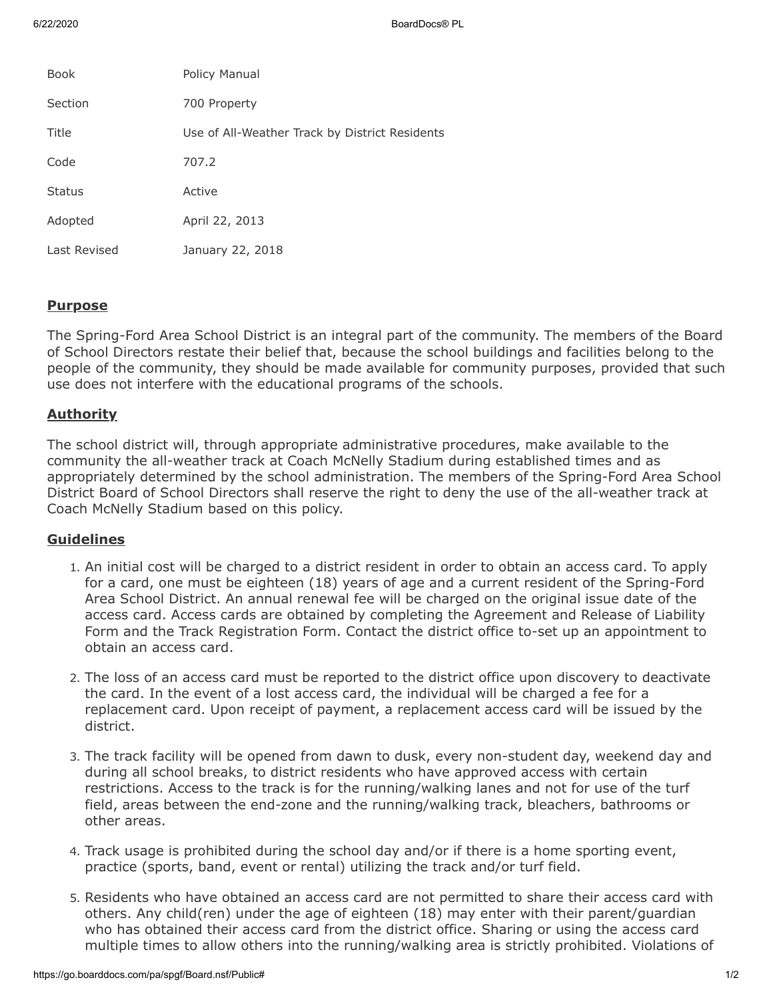6/22/2020 BoardDocs® PL

| <b>Book</b>   | Policy Manual                                  |
|---------------|------------------------------------------------|
| Section       | 700 Property                                   |
| Title         | Use of All-Weather Track by District Residents |
| Code          | 707.2                                          |
| <b>Status</b> | Active                                         |
| Adopted       | April 22, 2013                                 |
| Last Revised  | January 22, 2018                               |

### **Purpose**

The Spring-Ford Area School District is an integral part of the community. The members of the Board of School Directors restate their belief that, because the school buildings and facilities belong to the people of the community, they should be made available for community purposes, provided that such use does not interfere with the educational programs of the schools.

# **Authority**

The school district will, through appropriate administrative procedures, make available to the community the all-weather track at Coach McNelly Stadium during established times and as appropriately determined by the school administration. The members of the Spring-Ford Area School District Board of School Directors shall reserve the right to deny the use of the all-weather track at Coach McNelly Stadium based on this policy.

# **Guidelines**

- 1. An initial cost will be charged to a district resident in order to obtain an access card. To apply for a card, one must be eighteen (18) years of age and a current resident of the Spring-Ford Area School District. An annual renewal fee will be charged on the original issue date of the access card. Access cards are obtained by completing the Agreement and Release of Liability Form and the Track Registration Form. Contact the district office to-set up an appointment to obtain an access card.
- 2. The loss of an access card must be reported to the district office upon discovery to deactivate the card. In the event of a lost access card, the individual will be charged a fee for a replacement card. Upon receipt of payment, a replacement access card will be issued by the district.
- 3. The track facility will be opened from dawn to dusk, every non-student day, weekend day and during all school breaks, to district residents who have approved access with certain restrictions. Access to the track is for the running/walking lanes and not for use of the turf field, areas between the end-zone and the running/walking track, bleachers, bathrooms or other areas.
- 4. Track usage is prohibited during the school day and/or if there is a home sporting event, practice (sports, band, event or rental) utilizing the track and/or turf field.
- 5. Residents who have obtained an access card are not permitted to share their access card with others. Any child(ren) under the age of eighteen (18) may enter with their parent/guardian who has obtained their access card from the district office. Sharing or using the access card multiple times to allow others into the running/walking area is strictly prohibited. Violations of